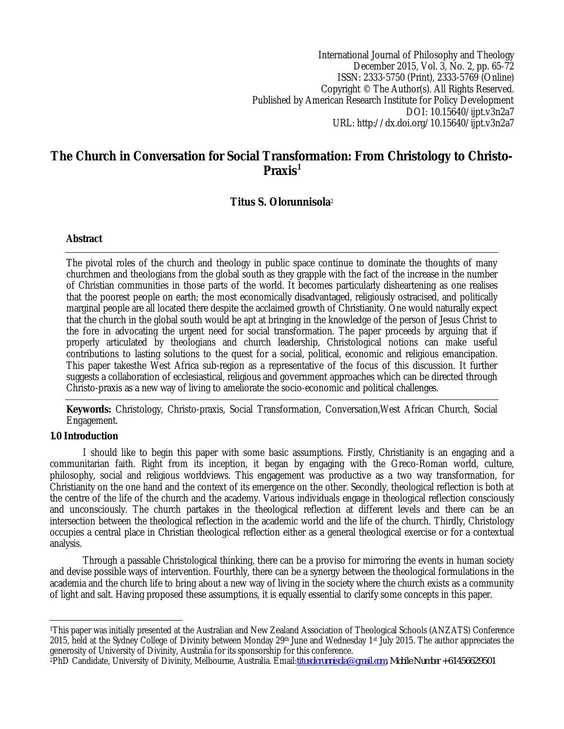International Journal of Philosophy and Theology December 2015, Vol. 3, No. 2, pp. 65-72 ISSN: 2333-5750 (Print), 2333-5769 (Online) Copyright © The Author(s). All Rights Reserved. Published by American Research Institute for Policy Development DOI: 10.15640/ijpt.v3n2a7 URL: http://dx.doi.org/10.15640/ijpt.v3n2a7

# **The Church in Conversation for Social Transformation: From Christology to Christo-Praxis<sup>1</sup>**

# **Titus S. Olorunnisola**<sup>2</sup>

## **Abstract**

The pivotal roles of the church and theology in public space continue to dominate the thoughts of many churchmen and theologians from the global south as they grapple with the fact of the increase in the number of Christian communities in those parts of the world. It becomes particularly disheartening as one realises that the poorest people on earth; the most economically disadvantaged, religiously ostracised, and politically marginal people are all located there despite the acclaimed growth of Christianity. One would naturally expect that the church in the global south would be apt at bringing in the knowledge of the person of Jesus Christ to the fore in advocating the urgent need for social transformation. The paper proceeds by arguing that if properly articulated by theologians and church leadership, Christological notions can make useful contributions to lasting solutions to the quest for a social, political, economic and religious emancipation. This paper takesthe West Africa sub-region as a representative of the focus of this discussion. It further suggests a collaboration of ecclesiastical, religious and government approaches which can be directed through Christo-praxis as a new way of living to ameliorate the socio-economic and political challenges.

**Keywords:** Christology, Christo-praxis, Social Transformation, Conversation,West African Church, Social Engagement.

## **1.0 Introduction**

I should like to begin this paper with some basic assumptions. Firstly, Christianity is an engaging and a communitarian faith. Right from its inception, it began by engaging with the Greco-Roman world, culture, philosophy, social and religious worldviews. This engagement was productive as a two way transformation, for Christianity on the one hand and the context of its emergence on the other. Secondly, theological reflection is both at the centre of the life of the church and the academy. Various individuals engage in theological reflection consciously and unconsciously. The church partakes in the theological reflection at different levels and there can be an intersection between the theological reflection in the academic world and the life of the church. Thirdly, Christology occupies a central place in Christian theological reflection either as a general theological exercise or for a contextual analysis.

Through a passable Christological thinking, there can be a proviso for mirroring the events in human society and devise possible ways of intervention. Fourthly, there can be a synergy between the theological formulations in the academia and the church life to bring about a new way of living in the society where the church exists as a community of light and salt. Having proposed these assumptions, it is equally essential to clarify some concepts in this paper.

 $\overline{a}$ <sup>1</sup>This paper was initially presented at the Australian and New Zealand Association of Theological Schools (ANZATS) Conference 2015, held at the Sydney College of Divinity between Monday 29th June and Wednesday 1st July 2015. The author appreciates the generosity of University of Divinity, Australia for its sponsorship for this conference.

<sup>2</sup>PhD Candidate, University of Divinity, Melbourne, Australia. Email:*titusolorunnisola@gmail.com, Mobile Number +61456629501*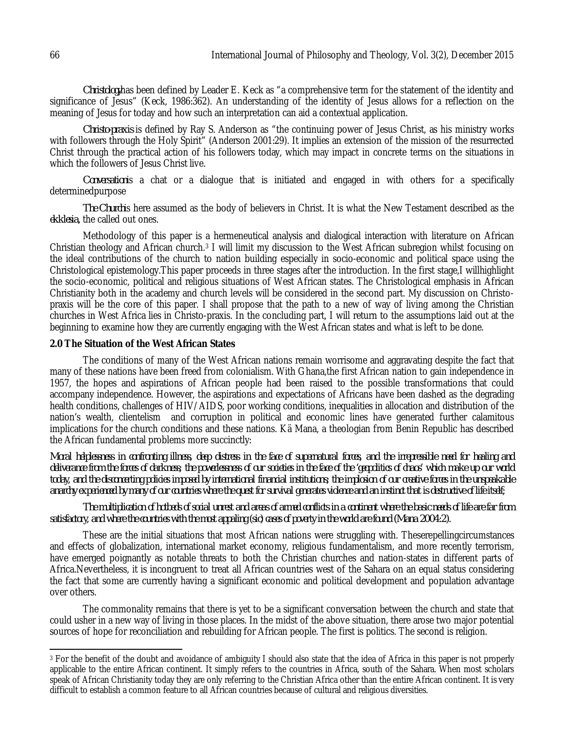*Christology*has been defined by Leader E. Keck as "a comprehensive term for the statement of the identity and significance of Jesus" (Keck, 1986:362). An understanding of the identity of Jesus allows for a reflection on the meaning of Jesus for today and how such an interpretation can aid a contextual application.

*Christo-praxis* is defined by Ray S. Anderson as "the continuing power of Jesus Christ, as his ministry works with followers through the Holy Spirit" (Anderson 2001:29). It implies an extension of the mission of the resurrected Christ through the practical action of his followers today, which may impact in concrete terms on the situations in which the followers of Jesus Christ live.

*Conversation*is a chat or a dialogue that is initiated and engaged in with others for a specifically determinedpurpose

*The Church*is here assumed as the body of believers in Christ. It is what the New Testament described as the *ekklesia,* the called out ones.

Methodology of this paper is a hermeneutical analysis and dialogical interaction with literature on African Christian theology and African church.<sup>3</sup> I will limit my discussion to the West African subregion whilst focusing on the ideal contributions of the church to nation building especially in socio-economic and political space using the Christological epistemology.This paper proceeds in three stages after the introduction. In the first stage,I willhighlight the socio-economic, political and religious situations of West African states. The Christological emphasis in African Christianity both in the academy and church levels will be considered in the second part. My discussion on Christopraxis will be the core of this paper. I shall propose that the path to a new of way of living among the Christian churches in West Africa lies in Christo-praxis. In the concluding part, I will return to the assumptions laid out at the beginning to examine how they are currently engaging with the West African states and what is left to be done.

#### **2.0 The Situation of the West African States**

The conditions of many of the West African nations remain worrisome and aggravating despite the fact that many of these nations have been freed from colonialism. With Ghana,the first African nation to gain independence in 1957, the hopes and aspirations of African people had been raised to the possible transformations that could accompany independence. However, the aspirations and expectations of Africans have been dashed as the degrading health conditions, challenges of HIV/AIDS, poor working conditions, inequalities in allocation and distribution of the nation's wealth, clientelism and corruption in political and economic lines have generated further calamitous implications for the church conditions and these nations. Kä Mana, a theologian from Benin Republic has described the African fundamental problems more succinctly:

*Moral helplessness in confronting illness, deep distress in the face of supernatural forces, and the irrepressible need for healing and deliverance from the forces of darkness; the powerlessness of our societies in the face of the 'geopolitics of chaos' which make up our world today, and the disconcerting policies imposed by international financial institutions; the implosion of our creative forces in the unspeakable anarchy experienced by many of our countries where the quest for survival generates violence and an instinct that is destructive of life itself;*

*The multiplication of hotbeds of social unrest and areas of armed conflicts in a continent where the basic needs of life are far from satisfactory, and where the countries with the most appaling (sic) cases of poverty in the world are found (Mana 2004:2).*

These are the initial situations that most African nations were struggling with. Theserepellingcircumstances and effects of globalization, international market economy, religious fundamentalism, and more recently terrorism, have emerged poignantly as notable threats to both the Christian churches and nation-states in different parts of Africa.Nevertheless, it is incongruent to treat all African countries west of the Sahara on an equal status considering the fact that some are currently having a significant economic and political development and population advantage over others.

The commonality remains that there is yet to be a significant conversation between the church and state that could usher in a new way of living in those places. In the midst of the above situation, there arose two major potential sources of hope for reconciliation and rebuilding for African people. The first is politics. The second is religion.

 $\overline{a}$ <sup>3</sup> For the benefit of the doubt and avoidance of ambiguity I should also state that the idea of Africa in this paper is not properly applicable to the entire African continent. It simply refers to the countries in Africa, south of the Sahara. When most scholars speak of African Christianity today they are only referring to the Christian Africa other than the entire African continent. It is very difficult to establish a common feature to all African countries because of cultural and religious diversities.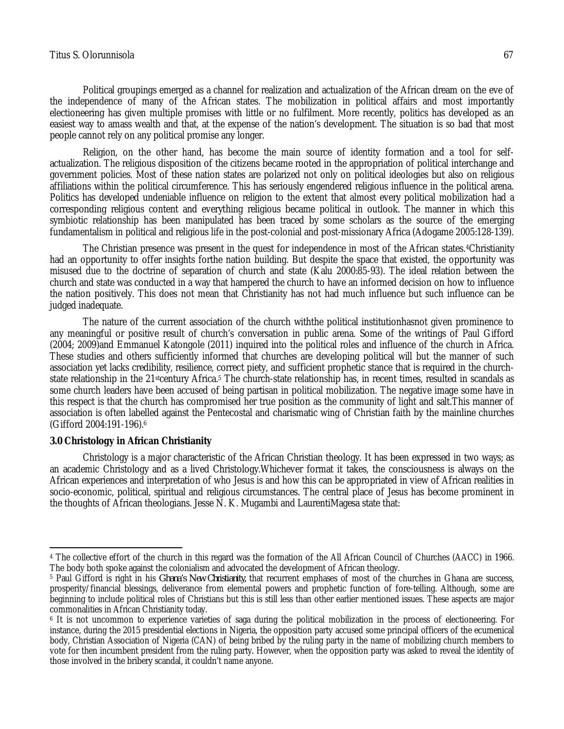#### Titus S. Olorunnisola 67

Political groupings emerged as a channel for realization and actualization of the African dream on the eve of the independence of many of the African states. The mobilization in political affairs and most importantly electioneering has given multiple promises with little or no fulfilment. More recently, politics has developed as an easiest way to amass wealth and that, at the expense of the nation's development. The situation is so bad that most people cannot rely on any political promise any longer.

Religion, on the other hand, has become the main source of identity formation and a tool for selfactualization. The religious disposition of the citizens became rooted in the appropriation of political interchange and government policies. Most of these nation states are polarized not only on political ideologies but also on religious affiliations within the political circumference. This has seriously engendered religious influence in the political arena. Politics has developed undeniable influence on religion to the extent that almost every political mobilization had a corresponding religious content and everything religious became political in outlook. The manner in which this symbiotic relationship has been manipulated has been traced by some scholars as the source of the emerging fundamentalism in political and religious life in the post-colonial and post-missionary Africa (Adogame 2005:128-139).

The Christian presence was present in the quest for independence in most of the African states.4Christianity had an opportunity to offer insights forthe nation building. But despite the space that existed, the opportunity was misused due to the doctrine of separation of church and state (Kalu 2000:85-93). The ideal relation between the church and state was conducted in a way that hampered the church to have an informed decision on how to influence the nation positively. This does not mean that Christianity has not had much influence but such influence can be judged inadequate.

The nature of the current association of the church withthe political institutionhasnot given prominence to any meaningful or positive result of church's conversation in public arena. Some of the writings of Paul Gifford (2004; 2009)and Emmanuel Katongole (2011) inquired into the political roles and influence of the church in Africa. These studies and others sufficiently informed that churches are developing political will but the manner of such association yet lacks credibility, resilience, correct piety, and sufficient prophetic stance that is required in the churchstate relationship in the 21stcentury Africa.<sup>5</sup> The church-state relationship has, in recent times, resulted in scandals as some church leaders have been accused of being partisan in political mobilization. The negative image some have in this respect is that the church has compromised her true position as the community of light and salt.This manner of association is often labelled against the Pentecostal and charismatic wing of Christian faith by the mainline churches (Gifford 2004:191-196).<sup>6</sup>

## **3.0 Christology in African Christianity**

Christology is a major characteristic of the African Christian theology. It has been expressed in two ways; as an academic Christology and as a lived Christology.Whichever format it takes, the consciousness is always on the African experiences and interpretation of who Jesus is and how this can be appropriated in view of African realities in socio-economic, political, spiritual and religious circumstances. The central place of Jesus has become prominent in the thoughts of African theologians. Jesse N. K. Mugambi and LaurentiMagesa state that:

 $\overline{\phantom{a}}$ <sup>4</sup> The collective effort of the church in this regard was the formation of the All African Council of Churches (AACC) in 1966. The body both spoke against the colonialism and advocated the development of African theology.

<sup>5</sup> Paul Gifford is right in his *Ghana's New Christianity,* that recurrent emphases of most of the churches in Ghana are success, prosperity/financial blessings, deliverance from elemental powers and prophetic function of fore-telling. Although, some are beginning to include political roles of Christians but this is still less than other earlier mentioned issues. These aspects are major commonalities in African Christianity today.

<sup>6</sup> It is not uncommon to experience varieties of saga during the political mobilization in the process of electioneering. For instance, during the 2015 presidential elections in Nigeria, the opposition party accused some principal officers of the ecumenical body, Christian Association of Nigeria (CAN) of being bribed by the ruling party in the name of mobilizing church members to vote for then incumbent president from the ruling party. However, when the opposition party was asked to reveal the identity of those involved in the bribery scandal, it couldn't name anyone.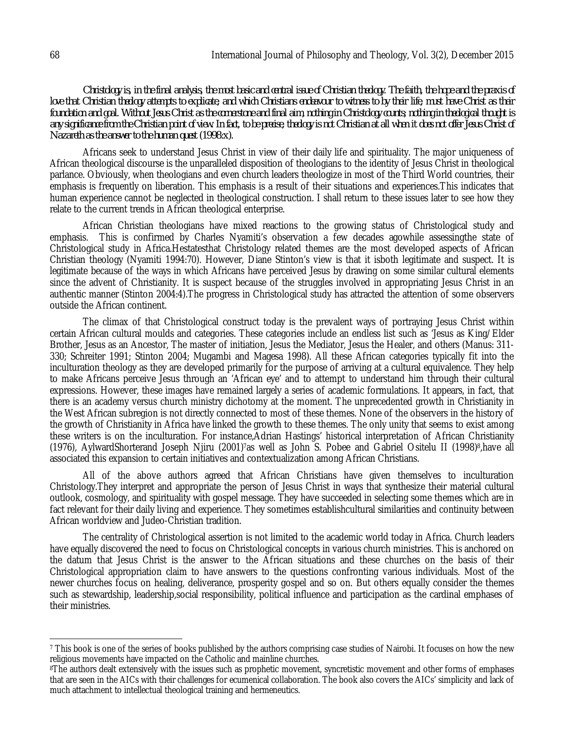*Christology is, in the final analysis, the most basic and central issue of Christian theology. The faith, the hope and the praxis of*  love that Christian theology attempts to explicate, and which Christians endeavour to witness to by their life, must have Christ as their *foundation and goal. Without Jesus Christ as the cornerstone and final aim, nothing in Christology counts; nothing in theological thought is any significance from the Christian point of view. In fact, to be precise, theology is not Christian at all when it does not offer Jesus Christ of Nazareth as the answer to the human quest (1998:x).*

Africans seek to understand Jesus Christ in view of their daily life and spirituality. The major uniqueness of African theological discourse is the unparalleled disposition of theologians to the identity of Jesus Christ in theological parlance. Obviously, when theologians and even church leaders theologize in most of the Third World countries, their emphasis is frequently on liberation. This emphasis is a result of their situations and experiences.This indicates that human experience cannot be neglected in theological construction. I shall return to these issues later to see how they relate to the current trends in African theological enterprise.

African Christian theologians have mixed reactions to the growing status of Christological study and emphasis. This is confirmed by Charles Nyamiti's observation a few decades agowhile assessingthe state of Christological study in Africa.Hestatesthat Christology related themes are the most developed aspects of African Christian theology (Nyamiti 1994:70). However, Diane Stinton's view is that it isboth legitimate and suspect. It is legitimate because of the ways in which Africans have perceived Jesus by drawing on some similar cultural elements since the advent of Christianity. It is suspect because of the struggles involved in appropriating Jesus Christ in an authentic manner (Stinton 2004:4).The progress in Christological study has attracted the attention of some observers outside the African continent.

The climax of that Christological construct today is the prevalent ways of portraying Jesus Christ within certain African cultural moulds and categories. These categories include an endless list such as 'Jesus as King/Elder Brother, Jesus as an Ancestor, The master of initiation, Jesus the Mediator, Jesus the Healer, and others (Manus: 311- 330; Schreiter 1991; Stinton 2004; Mugambi and Magesa 1998). All these African categories typically fit into the inculturation theology as they are developed primarily for the purpose of arriving at a cultural equivalence. They help to make Africans perceive Jesus through an 'African eye' and to attempt to understand him through their cultural expressions. However, these images have remained largely a series of academic formulations. It appears, in fact, that there is an academy versus church ministry dichotomy at the moment. The unprecedented growth in Christianity in the West African subregion is not directly connected to most of these themes. None of the observers in the history of the growth of Christianity in Africa have linked the growth to these themes. The only unity that seems to exist among these writers is on the inculturation. For instance,Adrian Hastings' historical interpretation of African Christianity (1976), AylwardShorterand Joseph Njiru (2001)7as well as John S. Pobee and Gabriel Ositelu II (1998)8,have all associated this expansion to certain initiatives and contextualization among African Christians.

All of the above authors agreed that African Christians have given themselves to inculturation Christology.They interpret and appropriate the person of Jesus Christ in ways that synthesize their material cultural outlook, cosmology, and spirituality with gospel message. They have succeeded in selecting some themes which are in fact relevant for their daily living and experience. They sometimes establishcultural similarities and continuity between African worldview and Judeo-Christian tradition.

The centrality of Christological assertion is not limited to the academic world today in Africa. Church leaders have equally discovered the need to focus on Christological concepts in various church ministries. This is anchored on the datum that Jesus Christ is the answer to the African situations and these churches on the basis of their Christological appropriation claim to have answers to the questions confronting various individuals. Most of the newer churches focus on healing, deliverance, prosperity gospel and so on. But others equally consider the themes such as stewardship, leadership,social responsibility, political influence and participation as the cardinal emphases of their ministries.

 $\overline{a}$ <sup>7</sup> This book is one of the series of books published by the authors comprising case studies of Nairobi. It focuses on how the new religious movements have impacted on the Catholic and mainline churches.

<sup>&</sup>lt;sup>8</sup>The authors dealt extensively with the issues such as prophetic movement, syncretistic movement and other forms of emphases that are seen in the AICs with their challenges for ecumenical collaboration. The book also covers the AICs' simplicity and lack of much attachment to intellectual theological training and hermeneutics.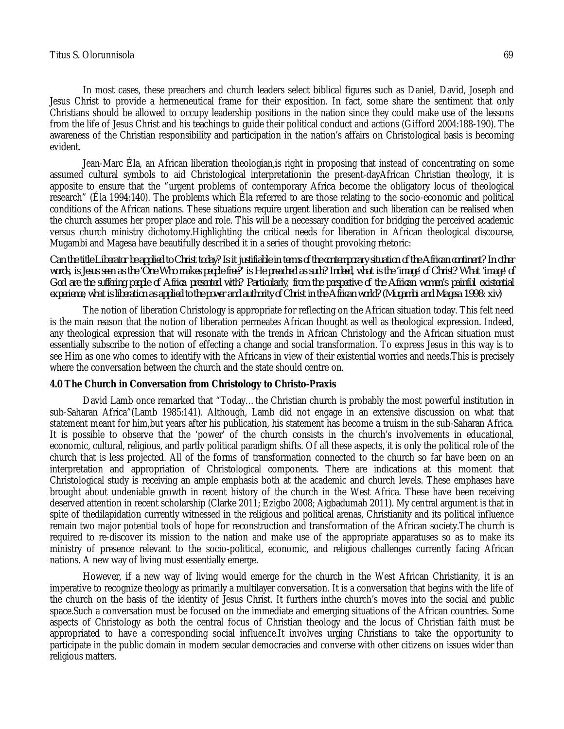In most cases, these preachers and church leaders select biblical figures such as Daniel, David, Joseph and Jesus Christ to provide a hermeneutical frame for their exposition. In fact, some share the sentiment that only Christians should be allowed to occupy leadership positions in the nation since they could make use of the lessons from the life of Jesus Christ and his teachings to guide their political conduct and actions (Gifford 2004:188-190). The awareness of the Christian responsibility and participation in the nation's affairs on Christological basis is becoming evident.

Jean-Marc Éla, an African liberation theologian,is right in proposing that instead of concentrating on some assumed cultural symbols to aid Christological interpretationin the present-dayAfrican Christian theology, it is apposite to ensure that the "urgent problems of contemporary Africa become the obligatory locus of theological research" (Éla 1994:140). The problems which Éla referred to are those relating to the socio-economic and political conditions of the African nations. These situations require urgent liberation and such liberation can be realised when the church assumes her proper place and role. This will be a necessary condition for bridging the perceived academic versus church ministry dichotomy.Highlighting the critical needs for liberation in African theological discourse, Mugambi and Magesa have beautifully described it in a series of thought provoking rhetoric:

*Can the title Liberator be applied to Christ today? Is it justifiable in terms of the contemporary situation of the African continent? In other*  words, is Jesus seen as the 'One Who makes people free?' is He preached as such? Indeed, what is the 'image' of Christ? What 'image' of *God are the suffering people of Africa presented with? Particularly, from the perspective of the African women's painful existential experience, what is liberation as applied to the power and authority of Christ in the African world? (Mugambi and Magesa 1998: xiv)*

The notion of liberation Christology is appropriate for reflecting on the African situation today. This felt need is the main reason that the notion of liberation permeates African thought as well as theological expression. Indeed, any theological expression that will resonate with the trends in African Christology and the African situation must essentially subscribe to the notion of effecting a change and social transformation. To express Jesus in this way is to see Him as one who comes to identify with the Africans in view of their existential worries and needs.This is precisely where the conversation between the church and the state should centre on.

#### **4.0 The Church in Conversation from Christology to Christo-Praxis**

David Lamb once remarked that "Today…the Christian church is probably the most powerful institution in sub-Saharan Africa"(Lamb 1985:141). Although, Lamb did not engage in an extensive discussion on what that statement meant for him,but years after his publication, his statement has become a truism in the sub-Saharan Africa. It is possible to observe that the 'power' of the church consists in the church's involvements in educational, economic, cultural, religious, and partly political paradigm shifts. Of all these aspects, it is only the political role of the church that is less projected. All of the forms of transformation connected to the church so far have been on an interpretation and appropriation of Christological components. There are indications at this moment that Christological study is receiving an ample emphasis both at the academic and church levels. These emphases have brought about undeniable growth in recent history of the church in the West Africa. These have been receiving deserved attention in recent scholarship (Clarke 2011; Ezigbo 2008; Aigbadumah 2011). My central argument is that in spite of thedilapidation currently witnessed in the religious and political arenas, Christianity and its political influence remain two major potential tools of hope for reconstruction and transformation of the African society.The church is required to re-discover its mission to the nation and make use of the appropriate apparatuses so as to make its ministry of presence relevant to the socio-political, economic, and religious challenges currently facing African nations. A new way of living must essentially emerge.

However, if a new way of living would emerge for the church in the West African Christianity, it is an imperative to recognize theology as primarily a multilayer conversation. It is a conversation that begins with the life of the church on the basis of the identity of Jesus Christ. It furthers inthe church's moves into the social and public space.Such a conversation must be focused on the immediate and emerging situations of the African countries. Some aspects of Christology as both the central focus of Christian theology and the locus of Christian faith must be appropriated to have a corresponding social influence.It involves urging Christians to take the opportunity to participate in the public domain in modern secular democracies and converse with other citizens on issues wider than religious matters.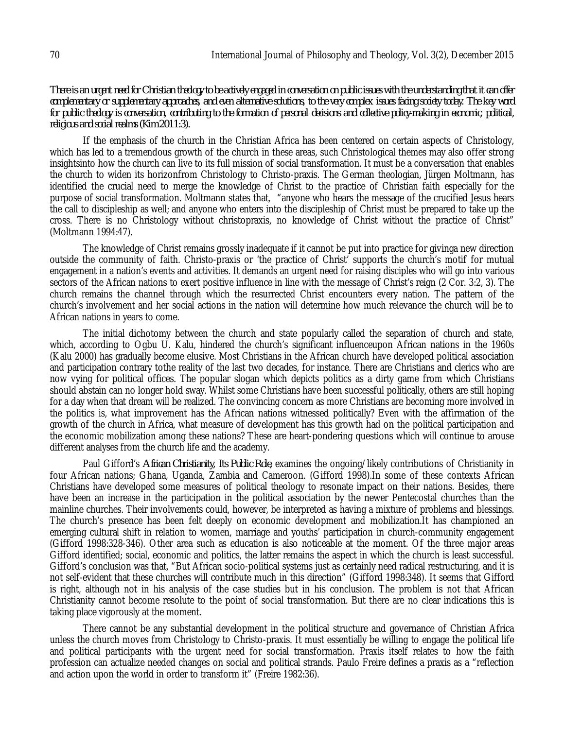*There is an urgent need for Christian theology to be actively engaged in conversation on public issues with the understanding that it can offer complementary or supplementary approaches, and even alternative solutions, to the very complex issues facing society today. The key word for public theology is conversation, contributing to the formation of personal decisions and collective policy-making in economic, political, religious and social realms (Kim 2011:3).*

If the emphasis of the church in the Christian Africa has been centered on certain aspects of Christology, which has led to a tremendous growth of the church in these areas, such Christological themes may also offer strong insightsinto how the church can live to its full mission of social transformation. It must be a conversation that enables the church to widen its horizonfrom Christology to Christo-praxis. The German theologian, Jürgen Moltmann, has identified the crucial need to merge the knowledge of Christ to the practice of Christian faith especially for the purpose of social transformation. Moltmann states that, "anyone who hears the message of the crucified Jesus hears the call to discipleship as well; and anyone who enters into the discipleship of Christ must be prepared to take up the cross. There is no Christology without christopraxis, no knowledge of Christ without the practice of Christ" (Moltmann 1994:47).

The knowledge of Christ remains grossly inadequate if it cannot be put into practice for givinga new direction outside the community of faith. Christo-praxis or 'the practice of Christ' supports the church's motif for mutual engagement in a nation's events and activities. It demands an urgent need for raising disciples who will go into various sectors of the African nations to exert positive influence in line with the message of Christ's reign (2 Cor. 3:2, 3). The church remains the channel through which the resurrected Christ encounters every nation. The pattern of the church's involvement and her social actions in the nation will determine how much relevance the church will be to African nations in years to come.

The initial dichotomy between the church and state popularly called the separation of church and state, which, according to Ogbu U. Kalu, hindered the church's significant influenceupon African nations in the 1960s (Kalu 2000) has gradually become elusive. Most Christians in the African church have developed political association and participation contrary tothe reality of the last two decades, for instance. There are Christians and clerics who are now vying for political offices. The popular slogan which depicts politics as a dirty game from which Christians should abstain can no longer hold sway. Whilst some Christians have been successful politically, others are still hoping for a day when that dream will be realized. The convincing concern as more Christians are becoming more involved in the politics is, what improvement has the African nations witnessed politically? Even with the affirmation of the growth of the church in Africa, what measure of development has this growth had on the political participation and the economic mobilization among these nations? These are heart-pondering questions which will continue to arouse different analyses from the church life and the academy.

Paul Gifford's *African Christianity, Its Public Role,* examines the ongoing/likely contributions of Christianity in four African nations; Ghana, Uganda, Zambia and Cameroon. (Gifford 1998).In some of these contexts African Christians have developed some measures of political theology to resonate impact on their nations. Besides, there have been an increase in the participation in the political association by the newer Pentecostal churches than the mainline churches. Their involvements could, however, be interpreted as having a mixture of problems and blessings. The church's presence has been felt deeply on economic development and mobilization.It has championed an emerging cultural shift in relation to women, marriage and youths' participation in church-community engagement (Gifford 1998:328-346). Other area such as education is also noticeable at the moment. Of the three major areas Gifford identified; social, economic and politics, the latter remains the aspect in which the church is least successful. Gifford's conclusion was that, "But African socio-political systems just as certainly need radical restructuring, and it is not self-evident that these churches will contribute much in this direction" (Gifford 1998:348). It seems that Gifford is right, although not in his analysis of the case studies but in his conclusion. The problem is not that African Christianity cannot become resolute to the point of social transformation. But there are no clear indications this is taking place vigorously at the moment.

There cannot be any substantial development in the political structure and governance of Christian Africa unless the church moves from Christology to Christo-praxis. It must essentially be willing to engage the political life and political participants with the urgent need for social transformation. Praxis itself relates to how the faith profession can actualize needed changes on social and political strands. Paulo Freire defines a praxis as a "reflection and action upon the world in order to transform it" (Freire 1982:36).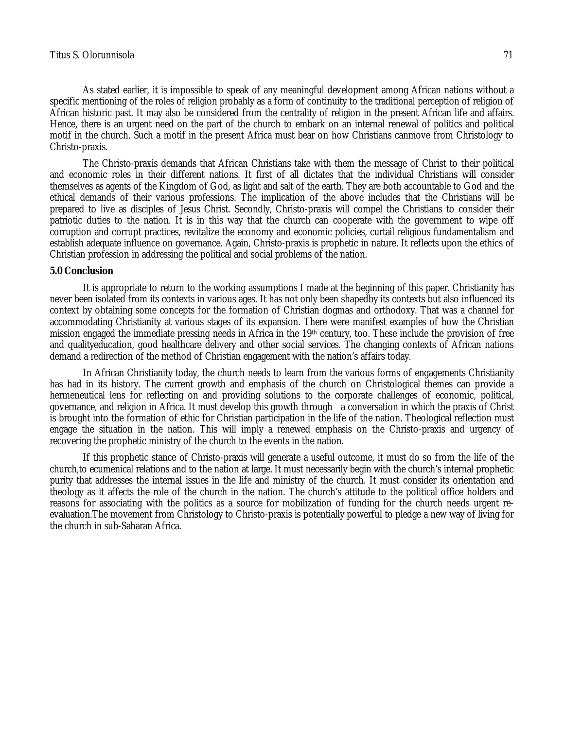As stated earlier, it is impossible to speak of any meaningful development among African nations without a specific mentioning of the roles of religion probably as a form of continuity to the traditional perception of religion of African historic past. It may also be considered from the centrality of religion in the present African life and affairs. Hence, there is an urgent need on the part of the church to embark on an internal renewal of politics and political motif in the church. Such a motif in the present Africa must bear on how Christians canmove from Christology to Christo-praxis.

The Christo-praxis demands that African Christians take with them the message of Christ to their political and economic roles in their different nations. It first of all dictates that the individual Christians will consider themselves as agents of the Kingdom of God, as light and salt of the earth. They are both accountable to God and the ethical demands of their various professions. The implication of the above includes that the Christians will be prepared to live as disciples of Jesus Christ. Secondly, Christo-praxis will compel the Christians to consider their patriotic duties to the nation. It is in this way that the church can cooperate with the government to wipe off corruption and corrupt practices, revitalize the economy and economic policies, curtail religious fundamentalism and establish adequate influence on governance. Again, Christo-praxis is prophetic in nature. It reflects upon the ethics of Christian profession in addressing the political and social problems of the nation.

#### **5.0 Conclusion**

It is appropriate to return to the working assumptions I made at the beginning of this paper. Christianity has never been isolated from its contexts in various ages. It has not only been shapedby its contexts but also influenced its context by obtaining some concepts for the formation of Christian dogmas and orthodoxy. That was a channel for accommodating Christianity at various stages of its expansion. There were manifest examples of how the Christian mission engaged the immediate pressing needs in Africa in the 19th century, too. These include the provision of free and qualityeducation, good healthcare delivery and other social services. The changing contexts of African nations demand a redirection of the method of Christian engagement with the nation's affairs today.

In African Christianity today, the church needs to learn from the various forms of engagements Christianity has had in its history. The current growth and emphasis of the church on Christological themes can provide a hermeneutical lens for reflecting on and providing solutions to the corporate challenges of economic, political, governance, and religion in Africa. It must develop this growth through a conversation in which the praxis of Christ is brought into the formation of ethic for Christian participation in the life of the nation. Theological reflection must engage the situation in the nation. This will imply a renewed emphasis on the Christo-praxis and urgency of recovering the prophetic ministry of the church to the events in the nation.

If this prophetic stance of Christo-praxis will generate a useful outcome, it must do so from the life of the church,to ecumenical relations and to the nation at large. It must necessarily begin with the church's internal prophetic purity that addresses the internal issues in the life and ministry of the church. It must consider its orientation and theology as it affects the role of the church in the nation. The church's attitude to the political office holders and reasons for associating with the politics as a source for mobilization of funding for the church needs urgent reevaluation. The movement from Christology to Christo-praxis is potentially powerful to pledge a new way of living for the church in sub-Saharan Africa.